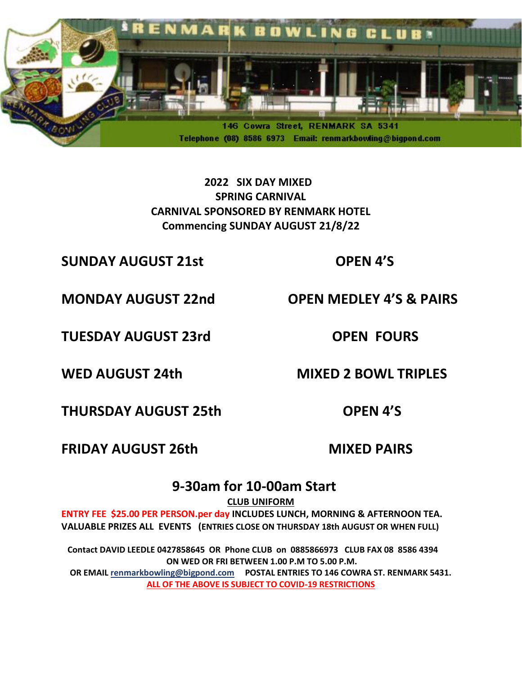

 **2022 SIX DAY MIXED SPRING CARNIVAL CARNIVAL SPONSORED BY RENMARK HOTEL Commencing SUNDAY AUGUST 21/8/22**

**SUNDAY AUGUST 21st OPEN 4'S**

**MONDAY AUGUST 22nd OPEN MEDLEY 4'S & PAIRS** 

**TUESDAY AUGUST 23rd COPEN FOURS** 

WED AUGUST 24th MIXED 2 BOWL TRIPLES

**THURSDAY AUGUST 25th OPEN 4'S**

**FRIDAY AUGUST 26th** 

 **MIXED PAIRS**

# **9-30am for 10-00am Start**

**CLUB UNIFORM**

**ENTRY FEE \$25.00 PER PERSON.per day INCLUDES LUNCH, MORNING & AFTERNOON TEA. VALUABLE PRIZES ALL EVENTS (ENTRIES CLOSE ON THURSDAY 18th AUGUST OR WHEN FULL)**

 **Contact DAVID LEEDLE 0427858645 OR Phone CLUB on 0885866973 CLUB FAX 08 8586 4394 ON WED OR FRI BETWEEN 1.00 P.M TO 5.00 P.M.**

**OR EMAIL [renmarkbowling@bigpond.com](mailto:renmarkbowling@bigpond.com) POSTAL ENTRIES TO 146 COWRA ST. RENMARK 5431. ALL OF THE ABOVE IS SUBJECT TO COVID-19 RESTRICTIONS**